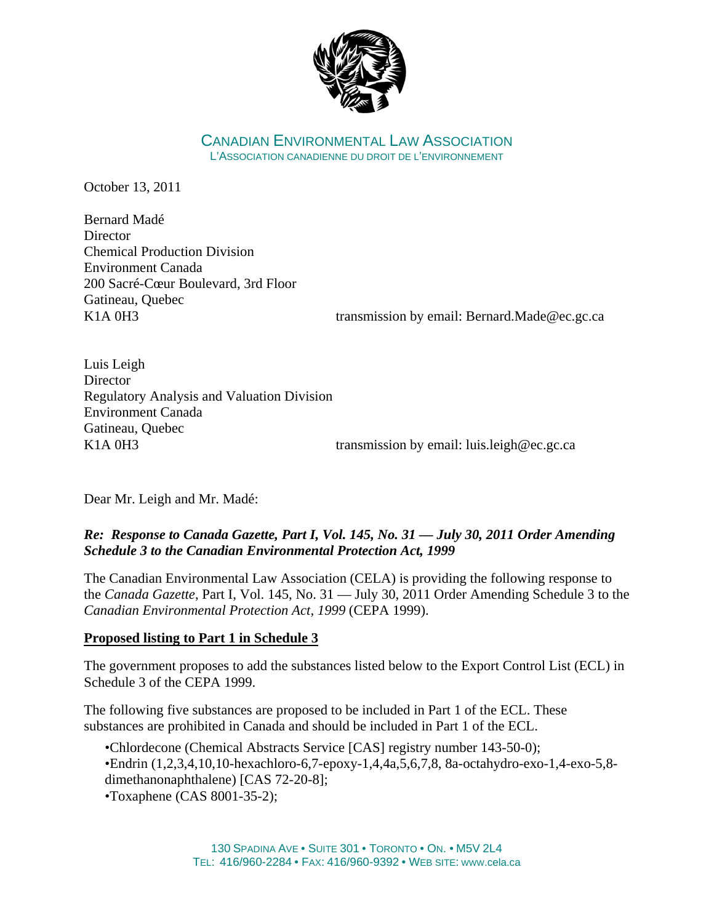

CANADIAN ENVIRONMENTAL LAW ASSOCIATION L'ASSOCIATION CANADIENNE DU DROIT DE L'ENVIRONNEMENT

October 13, 2011

Bernard Madé **Director** Chemical Production Division Environment Canada 200 Sacré-Cœur Boulevard, 3rd Floor Gatineau, Quebec

K1A 0H3 transmission by email: Bernard.Made@ec.gc.ca

Luis Leigh **Director** Regulatory Analysis and Valuation Division Environment Canada Gatineau, Quebec K1A 0H3 transmission by email: luis.leigh@ec.gc.ca

Dear Mr. Leigh and Mr. Madé:

# *Re: Response to Canada Gazette, Part I, Vol. 145, No. 31 — July 30, 2011 Order Amending Schedule 3 to the Canadian Environmental Protection Act, 1999*

The Canadian Environmental Law Association (CELA) is providing the following response to the *Canada Gazette*, Part I, Vol. 145, No. 31 — July 30, 2011 Order Amending Schedule 3 to the *Canadian Environmental Protection Act, 1999* (CEPA 1999).

### **Proposed listing to Part 1 in Schedule 3**

The government proposes to add the substances listed below to the Export Control List (ECL) in Schedule 3 of the CEPA 1999.

The following five substances are proposed to be included in Part 1 of the ECL. These substances are prohibited in Canada and should be included in Part 1 of the ECL.

•Chlordecone (Chemical Abstracts Service [CAS] registry number 143-50-0); •Endrin (1,2,3,4,10,10-hexachloro-6,7-epoxy-1,4,4a,5,6,7,8, 8a-octahydro-exo-1,4-exo-5,8 dimethanonaphthalene) [CAS 72-20-8];

•Toxaphene (CAS 8001-35-2);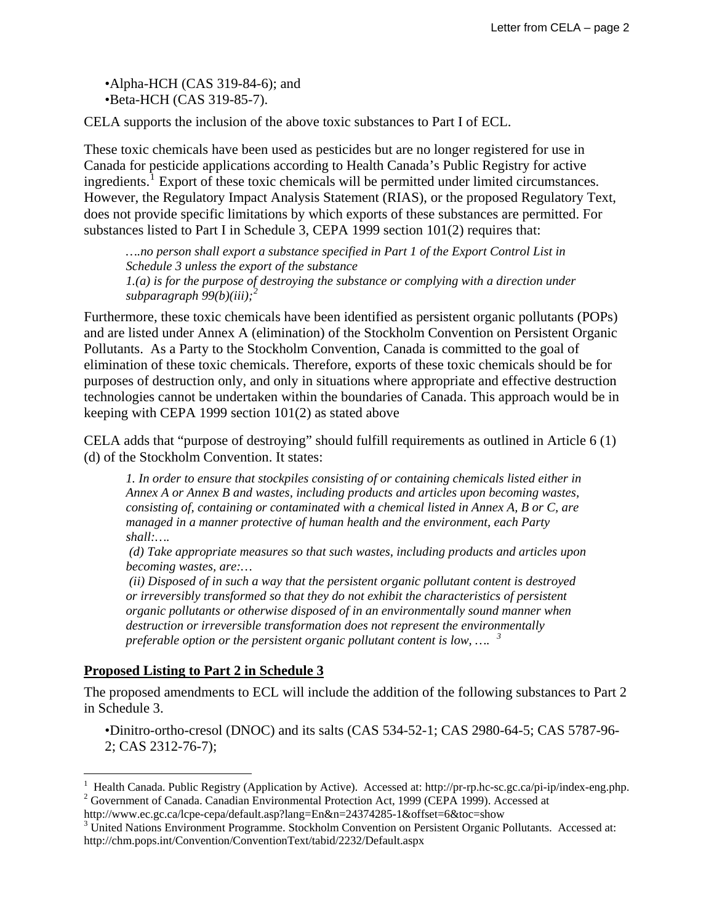•Alpha-HCH (CAS 319-84-6); and •Beta-HCH (CAS 319-85-7).

CELA supports the inclusion of the above toxic substances to Part I of ECL.

These toxic chemicals have been used as pesticides but are no longer registered for use in Canada for pesticide applications according to Health Canada's Public Registry for active ingredients.<sup>[1](#page-1-0)</sup> Export of these toxic chemicals will be permitted under limited circumstances. However, the Regulatory Impact Analysis Statement (RIAS), or the proposed Regulatory Text, does not provide specific limitations by which exports of these substances are permitted. For substances listed to Part I in Schedule 3, CEPA 1999 section 101(2) requires that:

*….no person shall export a substance specified in Part 1 of the Export Control List in Schedule 3 unless the export of the substance 1.(a) is for the purpose of destroying the substance or complying with a direction under subparagraph 99(b)(iii);[2](#page-1-1)*

Furthermore, these toxic chemicals have been identified as persistent organic pollutants (POPs) and are listed under Annex A (elimination) of the Stockholm Convention on Persistent Organic Pollutants. As a Party to the Stockholm Convention, Canada is committed to the goal of elimination of these toxic chemicals. Therefore, exports of these toxic chemicals should be for purposes of destruction only, and only in situations where appropriate and effective destruction technologies cannot be undertaken within the boundaries of Canada. This approach would be in keeping with CEPA 1999 section 101(2) as stated above

CELA adds that "purpose of destroying" should fulfill requirements as outlined in Article 6 (1) (d) of the Stockholm Convention. It states:

*1. In order to ensure that stockpiles consisting of or containing chemicals listed either in Annex A or Annex B and wastes, including products and articles upon becoming wastes, consisting of, containing or contaminated with a chemical listed in Annex A, B or C, are managed in a manner protective of human health and the environment, each Party shall:….* 

 *(d) Take appropriate measures so that such wastes, including products and articles upon becoming wastes, are:…* 

 *(ii) Disposed of in such a way that the persistent organic pollutant content is destroyed or irreversibly transformed so that they do not exhibit the characteristics of persistent organic pollutants or otherwise disposed of in an environmentally sound manner when destruction or irreversible transformation does not represent the environmentally preferable option or the persistent organic pollutant content is low, …. [3](#page-1-2)*

# **Proposed Listing to Part 2 in Schedule 3**

 $\overline{a}$ 

The proposed amendments to ECL will include the addition of the following substances to Part 2 in Schedule 3.

•Dinitro-ortho-cresol (DNOC) and its salts (CAS 534-52-1; CAS 2980-64-5; CAS 5787-96- 2; CAS 2312-76-7);

<span id="page-1-1"></span><span id="page-1-0"></span><sup>&</sup>lt;sup>1</sup> Health Canada. Public Registry (Application by Active). Accessed at: http://pr-rp.hc-sc.gc.ca/pi-ip/index-eng.php.<br><sup>2</sup> Government of Canada. Canadian Environmental Protection Act, 1000 (CEDA, 1000). Accessed at <sup>2</sup> Government of Canada. Canadian Environmental Protection Act, 1999 (CEPA 1999). Accessed at

http://www.ec.gc.ca/lcpe-cepa/default.asp?lang=En&n=24374285-1&offset=6&toc=show 3

<span id="page-1-2"></span><sup>&</sup>lt;sup>3</sup> United Nations Environment Programme. Stockholm Convention on Persistent Organic Pollutants. Accessed at: http://chm.pops.int/Convention/ConventionText/tabid/2232/Default.aspx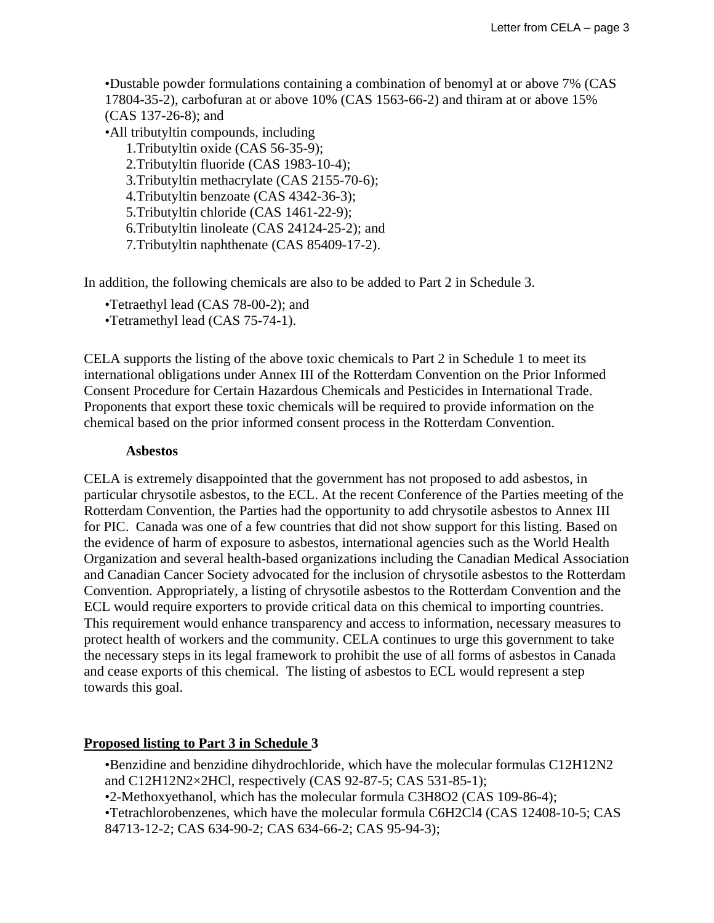•Dustable powder formulations containing a combination of benomyl at or above 7% (CAS 17804-35-2), carbofuran at or above 10% (CAS 1563-66-2) and thiram at or above 15% (CAS 137-26-8); and •All tributyltin compounds, including

1.Tributyltin oxide (CAS 56-35-9); 2.Tributyltin fluoride (CAS 1983-10-4); 3.Tributyltin methacrylate (CAS 2155-70-6); 4.Tributyltin benzoate (CAS 4342-36-3); 5.Tributyltin chloride (CAS 1461-22-9); 6.Tributyltin linoleate (CAS 24124-25-2); and 7.Tributyltin naphthenate (CAS 85409-17-2).

In addition, the following chemicals are also to be added to Part 2 in Schedule 3.

•Tetraethyl lead (CAS 78-00-2); and

•Tetramethyl lead (CAS 75-74-1).

CELA supports the listing of the above toxic chemicals to Part 2 in Schedule 1 to meet its international obligations under Annex III of the Rotterdam Convention on the Prior Informed Consent Procedure for Certain Hazardous Chemicals and Pesticides in International Trade. Proponents that export these toxic chemicals will be required to provide information on the chemical based on the prior informed consent process in the Rotterdam Convention.

#### **Asbestos**

CELA is extremely disappointed that the government has not proposed to add asbestos, in particular chrysotile asbestos, to the ECL. At the recent Conference of the Parties meeting of the Rotterdam Convention, the Parties had the opportunity to add chrysotile asbestos to Annex III for PIC. Canada was one of a few countries that did not show support for this listing. Based on the evidence of harm of exposure to asbestos, international agencies such as the World Health Organization and several health-based organizations including the Canadian Medical Association and Canadian Cancer Society advocated for the inclusion of chrysotile asbestos to the Rotterdam Convention. Appropriately, a listing of chrysotile asbestos to the Rotterdam Convention and the ECL would require exporters to provide critical data on this chemical to importing countries. This requirement would enhance transparency and access to information, necessary measures to protect health of workers and the community. CELA continues to urge this government to take the necessary steps in its legal framework to prohibit the use of all forms of asbestos in Canada and cease exports of this chemical. The listing of asbestos to ECL would represent a step towards this goal.

### **Proposed listing to Part 3 in Schedule 3**

•Benzidine and benzidine dihydrochloride, which have the molecular formulas C12H12N2 and C12H12N2×2HCl, respectively (CAS 92-87-5; CAS 531-85-1);

•2-Methoxyethanol, which has the molecular formula C3H8O2 (CAS 109-86-4);

•Tetrachlorobenzenes, which have the molecular formula C6H2Cl4 (CAS 12408-10-5; CAS 84713-12-2; CAS 634-90-2; CAS 634-66-2; CAS 95-94-3);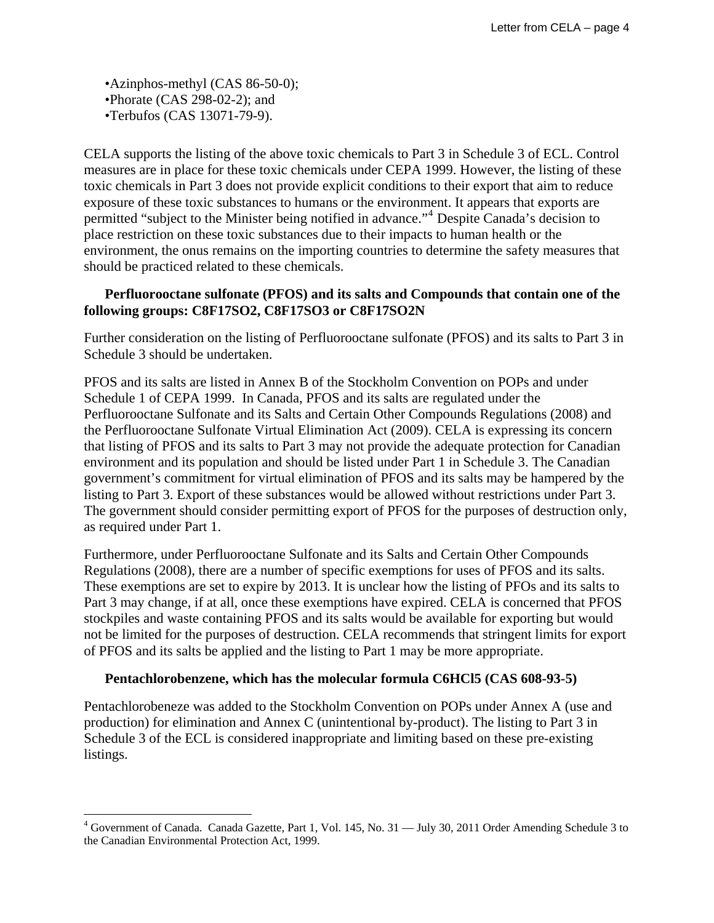•Azinphos-methyl (CAS 86-50-0); •Phorate (CAS 298-02-2); and •Terbufos (CAS 13071-79-9).

 $\overline{a}$ 

CELA supports the listing of the above toxic chemicals to Part 3 in Schedule 3 of ECL. Control measures are in place for these toxic chemicals under CEPA 1999. However, the listing of these toxic chemicals in Part 3 does not provide explicit conditions to their export that aim to reduce exposure of these toxic substances to humans or the environment. It appears that exports are permitted "subject to the Minister being notified in advance."<sup>[4](#page-3-0)</sup> Despite Canada's decision to place restriction on these toxic substances due to their impacts to human health or the environment, the onus remains on the importing countries to determine the safety measures that should be practiced related to these chemicals.

## **Perfluorooctane sulfonate (PFOS) and its salts and Compounds that contain one of the following groups: C8F17SO2, C8F17SO3 or C8F17SO2N**

Further consideration on the listing of Perfluorooctane sulfonate (PFOS) and its salts to Part 3 in Schedule 3 should be undertaken.

PFOS and its salts are listed in Annex B of the Stockholm Convention on POPs and under Schedule 1 of CEPA 1999. In Canada, PFOS and its salts are regulated under the Perfluorooctane Sulfonate and its Salts and Certain Other Compounds Regulations (2008) and the Perfluorooctane Sulfonate Virtual Elimination Act (2009). CELA is expressing its concern that listing of PFOS and its salts to Part 3 may not provide the adequate protection for Canadian environment and its population and should be listed under Part 1 in Schedule 3. The Canadian government's commitment for virtual elimination of PFOS and its salts may be hampered by the listing to Part 3. Export of these substances would be allowed without restrictions under Part 3. The government should consider permitting export of PFOS for the purposes of destruction only, as required under Part 1.

Furthermore, under Perfluorooctane Sulfonate and its Salts and Certain Other Compounds Regulations (2008), there are a number of specific exemptions for uses of PFOS and its salts. These exemptions are set to expire by 2013. It is unclear how the listing of PFOs and its salts to Part 3 may change, if at all, once these exemptions have expired. CELA is concerned that PFOS stockpiles and waste containing PFOS and its salts would be available for exporting but would not be limited for the purposes of destruction. CELA recommends that stringent limits for export of PFOS and its salts be applied and the listing to Part 1 may be more appropriate.

### **Pentachlorobenzene, which has the molecular formula C6HCl5 (CAS 608-93-5)**

Pentachlorobeneze was added to the Stockholm Convention on POPs under Annex A (use and production) for elimination and Annex C (unintentional by-product). The listing to Part 3 in Schedule 3 of the ECL is considered inappropriate and limiting based on these pre-existing listings.

<span id="page-3-0"></span><sup>&</sup>lt;sup>4</sup> Government of Canada. Canada Gazette, Part 1, Vol. 145, No. 31 — July 30, 2011 Order Amending Schedule 3 to the Canadian Environmental Protection Act, 1999.